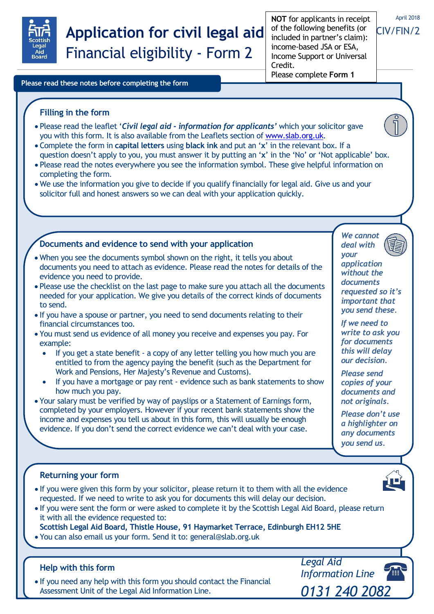

# **Application for civil legal aid** Financial eligibility - Form 2

**NOT** for applicants in receipt of the following benefits (or included in partner's claim): income-based JSA or ESA, Income Support or Universal Credit. Please complete **Form 1**

# April 2018

# CIV/FIN/2

**Please read these notes before completing the form**

**Filling in the form**

# Please read the leaflet '*Civil legal aid - information for applicants'* which your solicitor gave you with this form. It is also available from the Leaflets section of [www.slab.org.uk.](http://www.slab.org.uk/)

- Complete the form in **capital letters** using **black ink** and put an '**x**' in the relevant box. If a
- 1 question doesn't apply to you, you must answer it by putting an '**x**' in the 'No' or 'Not applicable' box.
- Please read the notes everywhere you see the information symbol. These give helpful information on completing the form.
- We use the information you give to decide if you qualify financially for legal aid. Give us and your solicitor full and honest answers so we can deal with your application quickly.

## **Documents and evidence to send with your application**

- When you see the documents symbol shown on the right, it tells you about documents you need to attach as evidence. Please read the notes for details of the evidence you need to provide.
- Please use the checklist on the last page to make sure you attach all the documents needed for your application. We give you details of the correct kinds of documents to send.
- If you have a spouse or partner, you need to send documents relating to their financial circumstances too.
- You must send us evidence of all money you receive and expenses you pay. For example:
	- If you get a state benefit a copy of any letter telling you how much you are entitled to from the agency paying the benefit (such as the Department for Work and Pensions, Her Majesty's Revenue and Customs).
	- If you have a mortgage or pay rent evidence such as bank statements to show how much you pay.
- Your salary must be verified by way of payslips or a Statement of Earnings form, completed by your employers. However if your recent bank statements show the income and expenses you tell us about in this form, this will usually be enough evidence. If you don't send the correct evidence we can't deal with your case.

*deal with your application without the documents requested so it's important that you send these.*

*We cannot*

*If we need to write to ask you for documents this will delay our decision.*

*Please send copies of your documents and not originals.*

*Please don't use a highlighter on any documents you send us.*

## **Returning your form**

- If you were given this form by your solicitor, please return it to them with all the evidence requested. If we need to write to ask you for documents this will delay our decision.
- If you were sent the form or were asked to complete it by the Scottish Legal Aid Board, please return it with all the evidence requested to:
- **Scottish Legal Aid Board, Thistle House, 91 Haymarket Terrace, Edinburgh EH12 5HE**
- You can also email us your form. Send it to: general@slab.org.uk

## **Help with this form**

 If you need any help with this form you should contact the Financial Assessment Unit of the Legal Aid Information Line.

*Legal Aid Information Line 0131 240 2082*



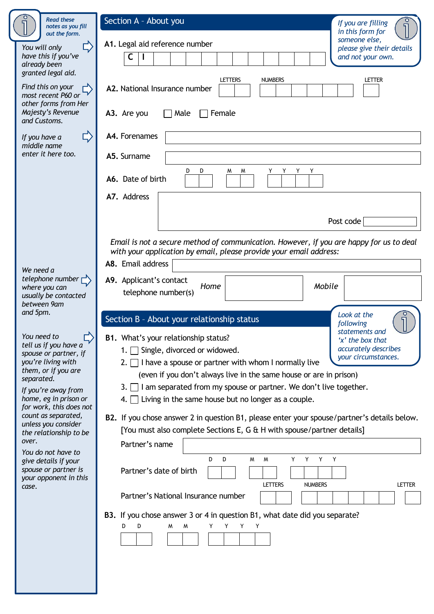| <b>Read these</b><br>notes as you fill<br>out the form.                                                                                                                                                         | Section A - About you<br>If you are filling<br>in this form for                                                                                                                                                                                                                                                                                                                                                                                                                                                                           |
|-----------------------------------------------------------------------------------------------------------------------------------------------------------------------------------------------------------------|-------------------------------------------------------------------------------------------------------------------------------------------------------------------------------------------------------------------------------------------------------------------------------------------------------------------------------------------------------------------------------------------------------------------------------------------------------------------------------------------------------------------------------------------|
| You will only<br>have this if you've<br>already been<br>granted legal aid.                                                                                                                                      | someone else,<br>A1. Legal aid reference number<br>please give their details<br>C<br>and not your own.                                                                                                                                                                                                                                                                                                                                                                                                                                    |
| Find this on your<br>most recent P60 or<br>other forms from Her<br>Majesty's Revenue                                                                                                                            | <b>NUMBERS</b><br><b>LETTERS</b><br>Letter<br>A2. National Insurance number<br>A3. Are you<br>Male<br>Female                                                                                                                                                                                                                                                                                                                                                                                                                              |
| and Customs.<br>$\Box$<br>If you have a<br>middle name<br>enter it here too.                                                                                                                                    | A4. Forenames<br>A5. Surname                                                                                                                                                                                                                                                                                                                                                                                                                                                                                                              |
|                                                                                                                                                                                                                 | D<br>D<br>M<br>M<br>Y<br>A6. Date of birth                                                                                                                                                                                                                                                                                                                                                                                                                                                                                                |
|                                                                                                                                                                                                                 | A7. Address<br>Post code                                                                                                                                                                                                                                                                                                                                                                                                                                                                                                                  |
| We need a                                                                                                                                                                                                       | Email is not a secure method of communication. However, if you are happy for us to deal<br>with your application by email, please provide your email address:<br>A8. Email address                                                                                                                                                                                                                                                                                                                                                        |
| telephone number $\Gamma$<br>where you can<br>usually be contacted<br>between 9am                                                                                                                               | A9. Applicant's contact<br>Mobile<br>Home<br>telephone number(s)                                                                                                                                                                                                                                                                                                                                                                                                                                                                          |
| and 5pm.<br>You need to<br>tell us if you have a<br>spouse or partner, if<br>you're living with<br>them, or if you are<br>separated.<br>If you're away from<br>home, eg in prison or<br>for work, this does not | Look at the<br>Section B - About your relationship status<br>following<br>statements and<br><b>B1.</b> What's your relationship status?<br>'x' the box that<br>accurately describes<br>Single, divorced or widowed.<br>1.1<br>your circumstances.<br>2. $\Box$ I have a spouse or partner with whom I normally live<br>(even if you don't always live in the same house or are in prison)<br>3. $\Box$ I am separated from my spouse or partner. We don't live together.<br>4. $\Box$ Living in the same house but no longer as a couple. |
| count as separated,<br>unless you consider<br>the relationship to be<br>over.                                                                                                                                   | B2. If you chose answer 2 in question B1, please enter your spouse/partner's details below.<br>[You must also complete Sections E, G & H with spouse/partner details]<br>Partner's name                                                                                                                                                                                                                                                                                                                                                   |
| You do not have to<br>give details if your<br>spouse or partner is<br>your opponent in this<br>case.                                                                                                            | Y.<br>Y<br>D<br>M<br>Y<br>Y<br>D<br>W<br>Partner's date of birth<br><b>NUMBERS</b><br><b>LETTERS</b><br><b>LETTER</b>                                                                                                                                                                                                                                                                                                                                                                                                                     |
|                                                                                                                                                                                                                 | Partner's National Insurance number<br>B3. If you chose answer 3 or 4 in question B1, what date did you separate?<br>D<br>D<br>M<br>M<br>Y<br>Υ<br>Y<br>Y                                                                                                                                                                                                                                                                                                                                                                                 |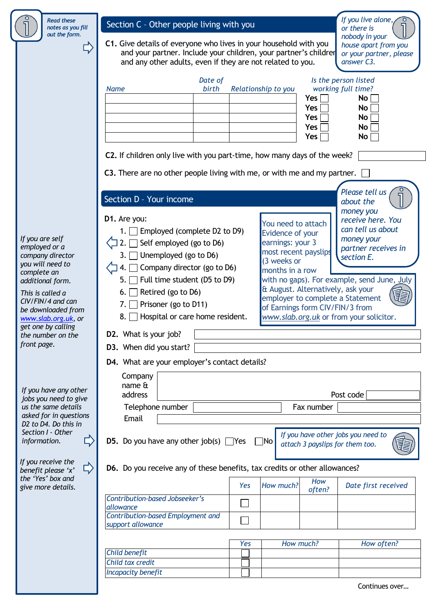*Read these notes as you fill out the form.*

 $\Box$ 

# Section C - Other people living with you

**C1.** Give details of everyone who lives in your household with you and your partner. Include your children, your partner's childrer or your partner, please and any other adults, even if they are not related to you.

*If you live alone, or there is nobody in your house apart from you answer C3.*

|                                                                                | and any other adults, even if they are not related to you.                                                                                                                                                                                                                                                                                                      |     | answer C3.                                                                                        |                                        |                                                                                                                                       |
|--------------------------------------------------------------------------------|-----------------------------------------------------------------------------------------------------------------------------------------------------------------------------------------------------------------------------------------------------------------------------------------------------------------------------------------------------------------|-----|---------------------------------------------------------------------------------------------------|----------------------------------------|---------------------------------------------------------------------------------------------------------------------------------------|
|                                                                                | Date of<br>birth<br><b>Name</b>                                                                                                                                                                                                                                                                                                                                 |     | Relationship to you                                                                               | <b>Yes</b><br>Yes<br>Yes<br>Yes<br>Yes | Is the person listed<br>working full time?<br>No <sub>1</sub><br>No <sub>1</sub><br>No <sub>1</sub><br>No<br>No <sub>1</sub>          |
|                                                                                | C2. If children only live with you part-time, how many days of the week?                                                                                                                                                                                                                                                                                        |     |                                                                                                   |                                        |                                                                                                                                       |
|                                                                                | C3. There are no other people living with me, or with me and my partner.                                                                                                                                                                                                                                                                                        |     |                                                                                                   |                                        |                                                                                                                                       |
| a<br>ector<br>l to                                                             | Section D - Your income<br>D1. Are you:<br>Employed (complete D2 to D9)<br>1. I<br>Self employed (go to D6)<br>Unemployed (go to D6)<br>3.<br>Company director (go to D6)                                                                                                                                                                                       |     | You need to attach<br>Evidence of your<br>earnings: your 3<br>most recent payslips<br>(3 weeks or |                                        | Please tell us<br>about the<br>money you<br>receive here. You<br>can tell us about<br>money your<br>partner receives in<br>section E. |
| rm.<br>$\overline{a}$<br>ıd can<br>ed from<br><u>g.uk,</u> or<br><b>illing</b> | months in a row<br>Full time student (D5 to D9)<br>with no gaps). For example, send June, July<br>5.<br>& August. Alternatively, ask your<br>Retired (go to D6)<br>6.<br>employer to complete a Statement<br>Prisoner (go to D11)<br>7.<br>of Earnings form CIV/FIN/3 from<br>Hospital or care home resident.<br>8.1<br>www.slab.org.uk or from your solicitor. |     |                                                                                                   |                                        |                                                                                                                                       |
| on the                                                                         | D2. What is your job?                                                                                                                                                                                                                                                                                                                                           |     |                                                                                                   |                                        |                                                                                                                                       |
|                                                                                | D3. When did you start?                                                                                                                                                                                                                                                                                                                                         |     |                                                                                                   |                                        |                                                                                                                                       |
| iny other<br>d to give<br>details<br>questions                                 | D4. What are your employer's contact details?<br>Company<br>name &<br>address<br>Telephone number<br>Email                                                                                                                                                                                                                                                      |     |                                                                                                   | Fax number                             | Post code                                                                                                                             |
| this in<br>ther                                                                | <b>D5.</b> Do you have any other job(s) $\Box$ Yes                                                                                                                                                                                                                                                                                                              |     | ¶No                                                                                               |                                        | If you have other jobs you need to                                                                                                    |
| ? the<br>e 'x'                                                                 | D6. Do you receive any of these benefits, tax credits or other allowances?                                                                                                                                                                                                                                                                                      |     |                                                                                                   |                                        | attach 3 payslips for them too.                                                                                                       |
| : and<br>tails.                                                                |                                                                                                                                                                                                                                                                                                                                                                 | Yes | How much?                                                                                         | How<br>often?                          | Date first received                                                                                                                   |
|                                                                                | <b>Contribution-based Jobseeker's</b><br>allowance<br>Contribution-based Employment and<br>support allowance                                                                                                                                                                                                                                                    |     |                                                                                                   |                                        |                                                                                                                                       |
|                                                                                |                                                                                                                                                                                                                                                                                                                                                                 |     |                                                                                                   |                                        |                                                                                                                                       |
|                                                                                | Child benefit                                                                                                                                                                                                                                                                                                                                                   | Yes |                                                                                                   | How much?                              | How often?                                                                                                                            |
|                                                                                | Child tax credit                                                                                                                                                                                                                                                                                                                                                |     |                                                                                                   |                                        |                                                                                                                                       |
|                                                                                | <b>Incapacity benefit</b>                                                                                                                                                                                                                                                                                                                                       |     |                                                                                                   |                                        |                                                                                                                                       |

*If you are sel employed or company dire you will need complete an additional form* 

*This is called CIV/FIN/4 an* be download www.slab.org *get one by calling*  the number of *front page.*

*If you have a jobs you nee us the same asked for in D2 to D4. Do* **Section I - Other** *information.*

*If you receive benefit pleas the 'Yes' box give more de* 

Continues over…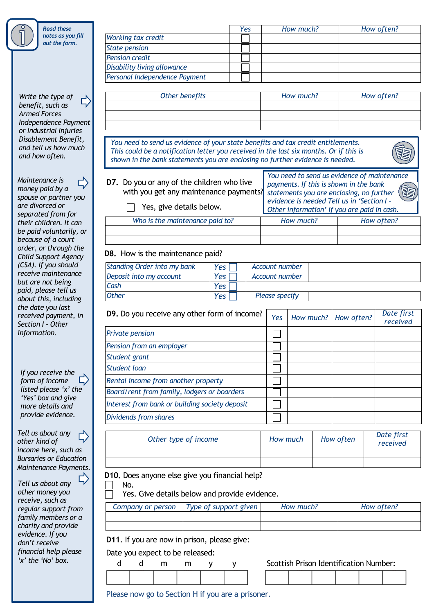*Read these notes as you fill out the form.*

*Write the type of*  Ľ, *benefit, such as Armed Forces Independence Payment or Industrial Injuries Disablement Benefit, and tell us how much and how often.*

*Maintenance is* 匚) *money paid by a spouse or partner you are divorced or separated from for their children. It can be paid voluntarily, or because of a court order, or through the Child Support Agency (CSA). If you should receive maintenance but are not being paid, please tell us about this, including the date you last received payment, in Section I - Other information.*

*If you receive the form of income listed please 'x' the 'Yes' box and give more details and provide evidence.*

*Tell us about any other kind of income here, such as Bursaries or Education Maintenance Payments.*

 $\overline{\mathbb{L}}$ *Tell us about any other money you receive, such as regular support from family members or a charity and provide evidence. If you don't receive financial help please 'x' the 'No' box.*

|                               | Yes | How much? | How often? |
|-------------------------------|-----|-----------|------------|
| <b>Working tax credit</b>     |     |           |            |
| <b>State pension</b>          |     |           |            |
| <b>Pension credit</b>         |     |           |            |
| Disability living allowance   |     |           |            |
| Personal Independence Payment |     |           |            |

| Other benefits | How much? | How often? |
|----------------|-----------|------------|
|                |           |            |
|                |           |            |
|                |           |            |

*You need to send us evidence of your state benefits and tax credit entitlements. This could be a notification letter you received in the last six months. Or if this is shown in the bank statements you are enclosing no further evidence is needed.* 



**D7.** Do you or any of the children who live with you get any maintenance payments? **The Yes, give details below.** *Who is the maintenance paid to? How much? How often? You need to send us evidence of maintenance payments. If this is shown in the bank statements you are enclosing, no further evidence is needed Tell us in 'Section I - Other information' if you are paid in cash.*

## **D8.** How is the maintenance paid?

| <b>Standing Order into my bank</b> | Yes I | Account number |  |
|------------------------------------|-------|----------------|--|
| Deposit into my account            | Yes   | Account number |  |
| Cash                               | Yes   |                |  |
| <b>Other</b>                       | Yes   | Please specify |  |

| D9. Do you receive any other form of income?   | Yes | How much? How often? | Date first<br>received |
|------------------------------------------------|-----|----------------------|------------------------|
| <b>Private pension</b>                         |     |                      |                        |
| Pension from an employer                       |     |                      |                        |
| Student grant                                  |     |                      |                        |
| Student loan                                   |     |                      |                        |
| Rental income from another property            |     |                      |                        |
| Board/rent from family, lodgers or boarders    |     |                      |                        |
| Interest from bank or building society deposit |     |                      |                        |
| Dividends from shares                          |     |                      |                        |

| Other type of income | How much | How often | Date first<br>received |
|----------------------|----------|-----------|------------------------|
|                      |          |           |                        |
|                      |          |           |                        |

**D10.** Does anyone else give you financial help?

Yes. Give details below and provide evidence.

| Company or person | Type of support given | How much? | How often? |
|-------------------|-----------------------|-----------|------------|
|                   |                       |           |            |
|                   |                       |           |            |

**D11**. If you are now in prison, please give:

Date you expect to be released:

No.



Please now go to Section H if you are a prisoner.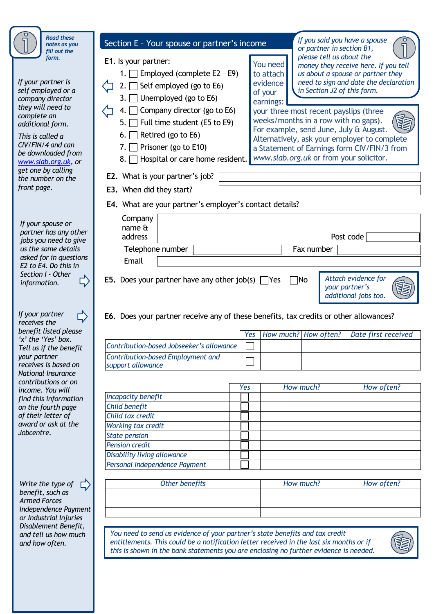| <b>Read these</b>                                                                                                                                                                                                                                                               |                                                                                                                                                                                                                                                                                                                                                                                                                                                                                                                                                                                                                                                                                                                                                                                                                                                                                                                                                                        |  |  |  |  |
|---------------------------------------------------------------------------------------------------------------------------------------------------------------------------------------------------------------------------------------------------------------------------------|------------------------------------------------------------------------------------------------------------------------------------------------------------------------------------------------------------------------------------------------------------------------------------------------------------------------------------------------------------------------------------------------------------------------------------------------------------------------------------------------------------------------------------------------------------------------------------------------------------------------------------------------------------------------------------------------------------------------------------------------------------------------------------------------------------------------------------------------------------------------------------------------------------------------------------------------------------------------|--|--|--|--|
| notes as you<br>fill out the                                                                                                                                                                                                                                                    | or partner in section B1,                                                                                                                                                                                                                                                                                                                                                                                                                                                                                                                                                                                                                                                                                                                                                                                                                                                                                                                                              |  |  |  |  |
| form.<br>If your partner is<br>self employed or a<br>company director<br>they will need to<br>complete an<br>additional form.<br>This is called a<br>$CIV/FIN/4$ and can<br>be downloaded from<br>www.slab.org.uk, or<br>get one by calling<br>the number on the<br>front page. | If you said you have a spouse<br>Section E - Your spouse or partner's income<br>please tell us about the<br>E1. Is your partner:<br>You need<br>money they receive here. If you tell<br>Employed (complete E2 - E9)<br>to attach<br>us about a spouse or partner they<br>need to sign and date the declaration<br>evidence<br>Self employed (go to E6)<br>in Section J2 of this form.<br>of your<br>Unemployed (go to E6)<br>3.<br>earnings:<br>Company director (go to E6)<br>your three most recent payslips (three<br>4.<br>weeks/months in a row with no gaps).<br>Full time student (E5 to E9)<br>5.<br>For example, send June, July & August.<br>Retired (go to E6)<br>6.<br>Alternatively, ask your employer to complete<br>Prisoner (go to E10)<br>7.<br>a Statement of Earnings form CIV/FIN/3 from<br>www.slab.org.uk or from your solicitor.<br>Hospital or care home resident.<br>8.<br>E2. What is your partner's job?<br><b>E3.</b> When did they start? |  |  |  |  |
|                                                                                                                                                                                                                                                                                 | E4. What are your partner's employer's contact details?                                                                                                                                                                                                                                                                                                                                                                                                                                                                                                                                                                                                                                                                                                                                                                                                                                                                                                                |  |  |  |  |
| If your spouse or<br>partner has any other                                                                                                                                                                                                                                      | Company<br>name &<br>Post code<br>address                                                                                                                                                                                                                                                                                                                                                                                                                                                                                                                                                                                                                                                                                                                                                                                                                                                                                                                              |  |  |  |  |
| jobs you need to give<br>us the same details                                                                                                                                                                                                                                    | Telephone number<br>Fax number                                                                                                                                                                                                                                                                                                                                                                                                                                                                                                                                                                                                                                                                                                                                                                                                                                                                                                                                         |  |  |  |  |
| asked for in questions<br>E2 to E4. Do this in                                                                                                                                                                                                                                  | Email                                                                                                                                                                                                                                                                                                                                                                                                                                                                                                                                                                                                                                                                                                                                                                                                                                                                                                                                                                  |  |  |  |  |
| Section I - Other<br>information.<br>If your partner<br>receives the                                                                                                                                                                                                            | Attach evidence for<br><b>E5.</b> Does your partner have any other job(s) $\Box$ Yes<br>$\Box$ No<br>your partner's<br>additional jobs too.<br>E6. Does your partner receive any of these benefits, tax credits or other allowances?                                                                                                                                                                                                                                                                                                                                                                                                                                                                                                                                                                                                                                                                                                                                   |  |  |  |  |
| benefit listed please<br>'x' the 'Yes' box.                                                                                                                                                                                                                                     | How much? How often?<br>Date first received<br>Yes                                                                                                                                                                                                                                                                                                                                                                                                                                                                                                                                                                                                                                                                                                                                                                                                                                                                                                                     |  |  |  |  |
| Tell us if the benefit                                                                                                                                                                                                                                                          | Contribution-based Jobseeker's allowance                                                                                                                                                                                                                                                                                                                                                                                                                                                                                                                                                                                                                                                                                                                                                                                                                                                                                                                               |  |  |  |  |
| your partner<br>receives is based on                                                                                                                                                                                                                                            | Contribution-based Employment and                                                                                                                                                                                                                                                                                                                                                                                                                                                                                                                                                                                                                                                                                                                                                                                                                                                                                                                                      |  |  |  |  |
| National Insurance                                                                                                                                                                                                                                                              | support allowance                                                                                                                                                                                                                                                                                                                                                                                                                                                                                                                                                                                                                                                                                                                                                                                                                                                                                                                                                      |  |  |  |  |
| contributions or on<br>income. You will                                                                                                                                                                                                                                         | How much?<br>How often?<br>Yes                                                                                                                                                                                                                                                                                                                                                                                                                                                                                                                                                                                                                                                                                                                                                                                                                                                                                                                                         |  |  |  |  |
| find this information                                                                                                                                                                                                                                                           | <b>Incapacity benefit</b>                                                                                                                                                                                                                                                                                                                                                                                                                                                                                                                                                                                                                                                                                                                                                                                                                                                                                                                                              |  |  |  |  |
| on the fourth page                                                                                                                                                                                                                                                              | Child benefit                                                                                                                                                                                                                                                                                                                                                                                                                                                                                                                                                                                                                                                                                                                                                                                                                                                                                                                                                          |  |  |  |  |
| of their letter of<br>award or ask at the                                                                                                                                                                                                                                       | Child tax credit                                                                                                                                                                                                                                                                                                                                                                                                                                                                                                                                                                                                                                                                                                                                                                                                                                                                                                                                                       |  |  |  |  |
| Jobcentre.                                                                                                                                                                                                                                                                      | Working tax credit                                                                                                                                                                                                                                                                                                                                                                                                                                                                                                                                                                                                                                                                                                                                                                                                                                                                                                                                                     |  |  |  |  |
|                                                                                                                                                                                                                                                                                 | <b>State pension</b><br><b>Pension credit</b>                                                                                                                                                                                                                                                                                                                                                                                                                                                                                                                                                                                                                                                                                                                                                                                                                                                                                                                          |  |  |  |  |
|                                                                                                                                                                                                                                                                                 | Disability living allowance                                                                                                                                                                                                                                                                                                                                                                                                                                                                                                                                                                                                                                                                                                                                                                                                                                                                                                                                            |  |  |  |  |
|                                                                                                                                                                                                                                                                                 | Personal Independence Payment                                                                                                                                                                                                                                                                                                                                                                                                                                                                                                                                                                                                                                                                                                                                                                                                                                                                                                                                          |  |  |  |  |
|                                                                                                                                                                                                                                                                                 |                                                                                                                                                                                                                                                                                                                                                                                                                                                                                                                                                                                                                                                                                                                                                                                                                                                                                                                                                                        |  |  |  |  |
| Write the type of<br>benefit, such as<br><b>Armed Forces</b><br>Independence Payment<br>or Industrial Injuries                                                                                                                                                                  | Other benefits<br>How much?<br>How often?                                                                                                                                                                                                                                                                                                                                                                                                                                                                                                                                                                                                                                                                                                                                                                                                                                                                                                                              |  |  |  |  |
| Disablement Benefit,<br>and tell us how much<br>and how often.                                                                                                                                                                                                                  | You need to send us evidence of your partner's state benefits and tax credit<br>entitlements. This could be a notification letter received in the last six months or if<br>this is shown in the bank statements you are enclosing no further evidence is needed.                                                                                                                                                                                                                                                                                                                                                                                                                                                                                                                                                                                                                                                                                                       |  |  |  |  |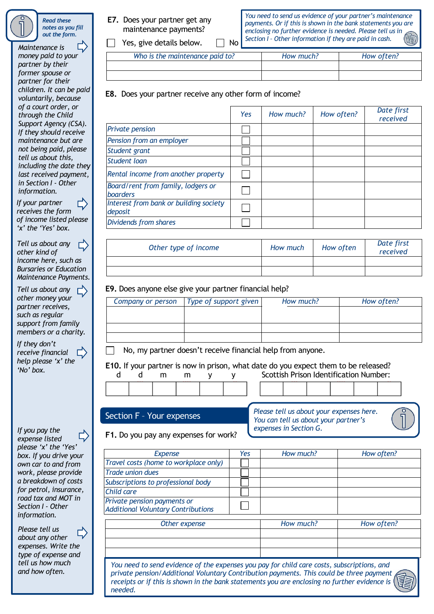*Read these notes as you fill out the form.*

*Maintenance is money paid to your partner by their former spouse or partner for their children. It can be paid voluntarily, because of a court order, or through the Child Support Agency (CSA). If they should receive maintenance but are not being paid, please tell us about this, including the date they last received payment, in Section I - Other information. If your partner*

Ľ, *receives the form of income listed please 'x' the 'Yes' box.*

*Tell us about any other kind of income here, such as Bursaries or Education Maintenance Payments.*

*Tell us about any other money your partner receives, such as regular support from family members or a charity.*

*If they don't receive financial*  $\overline{L}$ *help please 'x' the 'No' box.*

*If you pay the expense listed please 'x' the 'Yes' box. If you drive your own car to and from work, please provide a breakdown of costs for petrol, insurance, road tax and MOT in Section I - Other information.*

*Please tell us about any other expenses. Write the type of expense and tell us how much and how often.*

**E7.** Does your partner get any maintenance payments?

 $\Box$  Yes, give details below.  $\Box$  No

*You need to send us evidence of your partner's maintenance payments. Or if this is shown in the bank statements you are enclosing no further evidence is needed. Please tell us in Section I – Other information if they are paid in cash.*

| Who is the maintenance paid to? | How much? | How often? |
|---------------------------------|-----------|------------|
|                                 |           |            |
|                                 |           |            |

**E8.** Does your partner receive any other form of income?

|                                                       | <b>Yes</b> | How much? | How often? | Date first<br>received |
|-------------------------------------------------------|------------|-----------|------------|------------------------|
| <b>Private pension</b>                                |            |           |            |                        |
| Pension from an employer                              |            |           |            |                        |
| Student grant                                         |            |           |            |                        |
| Student loan                                          |            |           |            |                        |
| Rental income from another property                   |            |           |            |                        |
| Board/rent from family, lodgers or<br><b>boarders</b> |            |           |            |                        |
| Interest from bank or building society<br>deposit     |            |           |            |                        |
| Dividends from shares                                 |            |           |            |                        |

| Other type of income | How much | How often | Date first<br>received |
|----------------------|----------|-----------|------------------------|
|                      |          |           |                        |
|                      |          |           |                        |

# **E9.** Does anyone else give your partner financial help?

| Company or person | Type of support given | How much? | How often? |
|-------------------|-----------------------|-----------|------------|
|                   |                       |           |            |
|                   |                       |           |            |
|                   |                       |           |            |
|                   |                       |           |            |

No, my partner doesn't receive financial help from anyone.

**E10.** If your partner is now in prison, what date do you expect them to be released? **E10.** If your partner is now in prison, what date do you expect them to be released?

|  | Scottish Prison Identification Number: |
|--|----------------------------------------|
|  |                                        |

|  | Section F - Your expenses |
|--|---------------------------|
|  |                           |

*Please tell us about your expenses here. You can tell us about your partner's expenses in Section G.*

**F1.** Do you pay any expenses for work?

| <b>Expense</b>                                                                              | Yes | How much? | How often?                                 |
|---------------------------------------------------------------------------------------------|-----|-----------|--------------------------------------------|
| Travel costs (home to workplace only)                                                       |     |           |                                            |
| <b>Trade union dues</b>                                                                     |     |           |                                            |
| Subscriptions to professional body                                                          |     |           |                                            |
| Child care                                                                                  |     |           |                                            |
| Private pension payments or<br><b>Additional Voluntary Contributions</b>                    |     |           |                                            |
| $\bigcap_{i=1}^{n}$ and $\bigcap_{i=1}^{n}$ and $\bigcap_{i=1}^{n}$ and $\bigcap_{i=1}^{n}$ |     | 11.7.1    | $\mathbf{u}$ . $\mathbf{u}$ . $\mathbf{u}$ |

| Other expense | How much? | How often? |
|---------------|-----------|------------|
|               |           |            |
|               |           |            |
|               |           |            |
|               |           |            |

*You need to send evidence of the expenses you pay for child care costs, subscriptions, and private pension/Additional Voluntary Contribution payments. This could be three payment receipts or if this is shown in the bank statements you are enclosing no further evidence is needed.*

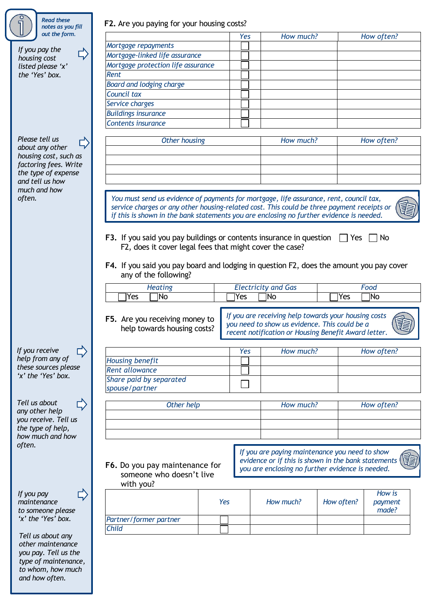| notes as you fill<br>out the form.                                                                                                                                                                                                                                                                                                                               |                                                                                            |     |     | How much?                                                                                             |            | How often? |
|------------------------------------------------------------------------------------------------------------------------------------------------------------------------------------------------------------------------------------------------------------------------------------------------------------------------------------------------------------------|--------------------------------------------------------------------------------------------|-----|-----|-------------------------------------------------------------------------------------------------------|------------|------------|
|                                                                                                                                                                                                                                                                                                                                                                  |                                                                                            |     | Yes |                                                                                                       |            |            |
| If you pay the                                                                                                                                                                                                                                                                                                                                                   | Mortgage repayments                                                                        |     |     |                                                                                                       |            |            |
| housing cost                                                                                                                                                                                                                                                                                                                                                     | Mortgage-linked life assurance                                                             |     |     |                                                                                                       |            |            |
| listed please 'x'                                                                                                                                                                                                                                                                                                                                                | Mortgage protection life assurance                                                         |     |     |                                                                                                       |            |            |
| the 'Yes' box.                                                                                                                                                                                                                                                                                                                                                   | Rent                                                                                       |     |     |                                                                                                       |            |            |
|                                                                                                                                                                                                                                                                                                                                                                  | Board and lodging charge                                                                   |     |     |                                                                                                       |            |            |
|                                                                                                                                                                                                                                                                                                                                                                  | Council tax                                                                                |     |     |                                                                                                       |            |            |
|                                                                                                                                                                                                                                                                                                                                                                  | Service charges                                                                            |     |     |                                                                                                       |            |            |
|                                                                                                                                                                                                                                                                                                                                                                  | <b>Buildings insurance</b>                                                                 |     |     |                                                                                                       |            |            |
|                                                                                                                                                                                                                                                                                                                                                                  | Contents insurance                                                                         |     |     |                                                                                                       |            |            |
|                                                                                                                                                                                                                                                                                                                                                                  |                                                                                            |     |     |                                                                                                       |            |            |
| Please tell us                                                                                                                                                                                                                                                                                                                                                   | <b>Other housing</b>                                                                       |     |     | How much?                                                                                             |            | How often? |
| about any other                                                                                                                                                                                                                                                                                                                                                  |                                                                                            |     |     |                                                                                                       |            |            |
| housing cost, such as<br>factoring fees. Write                                                                                                                                                                                                                                                                                                                   |                                                                                            |     |     |                                                                                                       |            |            |
| the type of expense                                                                                                                                                                                                                                                                                                                                              |                                                                                            |     |     |                                                                                                       |            |            |
| and tell us how                                                                                                                                                                                                                                                                                                                                                  |                                                                                            |     |     |                                                                                                       |            |            |
| much and how                                                                                                                                                                                                                                                                                                                                                     |                                                                                            |     |     |                                                                                                       |            |            |
| often.                                                                                                                                                                                                                                                                                                                                                           | You must send us evidence of payments for mortgage, life assurance, rent, council tax,     |     |     |                                                                                                       |            |            |
|                                                                                                                                                                                                                                                                                                                                                                  | service charges or any other housing-related cost. This could be three payment receipts or |     |     |                                                                                                       |            |            |
|                                                                                                                                                                                                                                                                                                                                                                  | if this is shown in the bank statements you are enclosing no further evidence is needed.   |     |     |                                                                                                       |            |            |
|                                                                                                                                                                                                                                                                                                                                                                  |                                                                                            |     |     |                                                                                                       |            |            |
|                                                                                                                                                                                                                                                                                                                                                                  | F3. If you said you pay buildings or contents insurance in question                        |     |     |                                                                                                       | Yes        | No         |
|                                                                                                                                                                                                                                                                                                                                                                  | F2, does it cover legal fees that might cover the case?                                    |     |     |                                                                                                       |            |            |
|                                                                                                                                                                                                                                                                                                                                                                  |                                                                                            |     |     |                                                                                                       |            |            |
|                                                                                                                                                                                                                                                                                                                                                                  |                                                                                            |     |     |                                                                                                       |            |            |
|                                                                                                                                                                                                                                                                                                                                                                  | F4. If you said you pay board and lodging in question F2, does the amount you pay cover    |     |     |                                                                                                       |            |            |
|                                                                                                                                                                                                                                                                                                                                                                  |                                                                                            |     |     |                                                                                                       |            |            |
|                                                                                                                                                                                                                                                                                                                                                                  | any of the following?                                                                      |     |     |                                                                                                       |            |            |
|                                                                                                                                                                                                                                                                                                                                                                  |                                                                                            |     |     |                                                                                                       |            | Food       |
|                                                                                                                                                                                                                                                                                                                                                                  | <b>Heating</b><br>ÌNo<br>Yes                                                               | Yes |     | <b>Electricity and Gas</b><br>1No                                                                     | Yes        | 7No        |
|                                                                                                                                                                                                                                                                                                                                                                  |                                                                                            |     |     |                                                                                                       |            |            |
|                                                                                                                                                                                                                                                                                                                                                                  |                                                                                            |     |     |                                                                                                       |            |            |
|                                                                                                                                                                                                                                                                                                                                                                  | F5. Are you receiving money to                                                             |     |     | If you are receiving help towards your housing costs                                                  |            |            |
|                                                                                                                                                                                                                                                                                                                                                                  | help towards housing costs?                                                                |     |     | you need to show us evidence. This could be a                                                         |            |            |
|                                                                                                                                                                                                                                                                                                                                                                  |                                                                                            |     |     | recent notification or Housing Benefit Award letter.                                                  |            |            |
|                                                                                                                                                                                                                                                                                                                                                                  |                                                                                            |     |     |                                                                                                       |            |            |
| 다)                                                                                                                                                                                                                                                                                                                                                               |                                                                                            |     | Yes | How much?                                                                                             |            | How often? |
|                                                                                                                                                                                                                                                                                                                                                                  | <b>Housing benefit</b>                                                                     |     |     |                                                                                                       |            |            |
|                                                                                                                                                                                                                                                                                                                                                                  | <b>Rent allowance</b>                                                                      |     |     |                                                                                                       |            |            |
|                                                                                                                                                                                                                                                                                                                                                                  | Share paid by separated                                                                    |     |     |                                                                                                       |            |            |
|                                                                                                                                                                                                                                                                                                                                                                  | spouse/partner                                                                             |     |     |                                                                                                       |            |            |
|                                                                                                                                                                                                                                                                                                                                                                  |                                                                                            |     |     |                                                                                                       |            |            |
|                                                                                                                                                                                                                                                                                                                                                                  | Other help                                                                                 |     |     | How much?                                                                                             |            | How often? |
|                                                                                                                                                                                                                                                                                                                                                                  |                                                                                            |     |     |                                                                                                       |            |            |
|                                                                                                                                                                                                                                                                                                                                                                  |                                                                                            |     |     |                                                                                                       |            |            |
|                                                                                                                                                                                                                                                                                                                                                                  |                                                                                            |     |     |                                                                                                       |            |            |
|                                                                                                                                                                                                                                                                                                                                                                  |                                                                                            |     |     |                                                                                                       |            |            |
|                                                                                                                                                                                                                                                                                                                                                                  |                                                                                            |     |     |                                                                                                       |            |            |
|                                                                                                                                                                                                                                                                                                                                                                  |                                                                                            |     |     | If you are paying maintenance you need to show<br>evidence or if this is shown in the bank statements |            |            |
|                                                                                                                                                                                                                                                                                                                                                                  | F6. Do you pay maintenance for                                                             |     |     | you are enclosing no further evidence is needed.                                                      |            |            |
|                                                                                                                                                                                                                                                                                                                                                                  | someone who doesn't live                                                                   |     |     |                                                                                                       |            |            |
|                                                                                                                                                                                                                                                                                                                                                                  | with you?                                                                                  |     |     |                                                                                                       |            |            |
|                                                                                                                                                                                                                                                                                                                                                                  |                                                                                            |     |     |                                                                                                       |            | How is     |
|                                                                                                                                                                                                                                                                                                                                                                  | Yes                                                                                        |     |     | How much?                                                                                             | How often? | payment    |
|                                                                                                                                                                                                                                                                                                                                                                  |                                                                                            |     |     |                                                                                                       |            | made?      |
|                                                                                                                                                                                                                                                                                                                                                                  | Partner/former partner                                                                     |     |     |                                                                                                       |            |            |
|                                                                                                                                                                                                                                                                                                                                                                  | <b>Child</b>                                                                               |     |     |                                                                                                       |            |            |
|                                                                                                                                                                                                                                                                                                                                                                  |                                                                                            |     |     |                                                                                                       |            |            |
|                                                                                                                                                                                                                                                                                                                                                                  |                                                                                            |     |     |                                                                                                       |            |            |
|                                                                                                                                                                                                                                                                                                                                                                  |                                                                                            |     |     |                                                                                                       |            |            |
| If you receive<br>help from any of<br>these sources please<br>'x' the 'Yes' box.<br>Tell us about<br>any other help<br>you receive. Tell us<br>the type of help,<br>how much and how<br>often.<br>If you pay<br>maintenance<br>to someone please<br>'x' the 'Yes' box.<br>Tell us about any<br>other maintenance<br>you pay. Tell us the<br>type of maintenance, |                                                                                            |     |     |                                                                                                       |            |            |

*and how often.*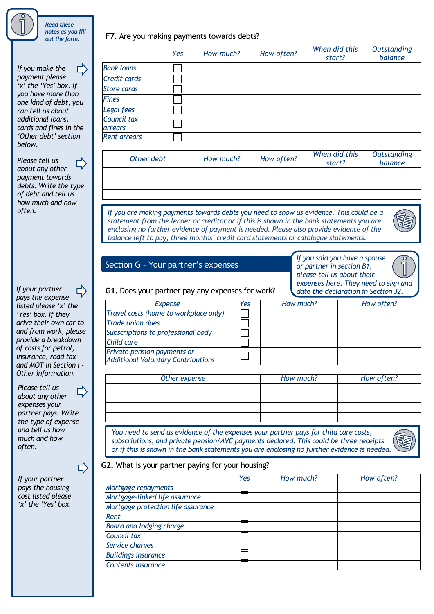

*notes as you fill out the form.*

*Read these* 

*If you make the payment please 'x' the 'Yes' box. If you have more than one kind of debt, you can tell us about additional loans, cards and fines in the 'Other debt' section below.* 

*Please tell us* Г, *about any other payment towards debts. Write the type of debt and tell us how much and how* 

*pays the expense listed please 'x' the 'Yes' box. If they drive their own car to and from work, please provide a breakdown of costs for petrol, insurance, road tax and MOT in Section I - Other information.*

*Please tell us about any other expenses your partner pays. Write the type of expense and tell us how much and how often.*

*If your partner pays the housing cost listed please 'x' the 'Yes' box.* **r** 

**F7.** Are you making payments towards debts?

| Yes        | How much? | How often? | When did this<br>start? | <b>Outstanding</b><br>balance |
|------------|-----------|------------|-------------------------|-------------------------------|
|            |           |            |                         |                               |
|            |           |            |                         |                               |
|            |           |            |                         |                               |
|            |           |            |                         |                               |
|            |           |            |                         |                               |
|            |           |            |                         |                               |
|            |           |            |                         |                               |
| Other debt | How much? | How often? | When did this           | <b>Outstanding</b><br>balance |
|            |           |            |                         |                               |
|            |           |            |                         | start?                        |

*often. If you are making payments towards debts you need to show us evidence. This could be a statement from the lender or creditor or if this is shown in the bank statements you are enclosing no further evidence of payment is needed. Please also provide evidence of the balance left to pay, three months' credit card statements or catalogue statements.*



# Section G – Your partner's expenses

| If you said you have a spouse        |                               |
|--------------------------------------|-------------------------------|
| or partner in section B1,            | $\bigcap \limits_{}^{\infty}$ |
| please tell us about their           |                               |
| expenses here. They need to sign and |                               |
|                                      |                               |

If your partner  $\Box$  **G1.** Does your partner pay any expenses for work? date the declaration in Section J2.

| <b>Expense</b>                                                           | Yes | How much? | How often? |
|--------------------------------------------------------------------------|-----|-----------|------------|
| Travel costs (home to workplace only)                                    |     |           |            |
| <b>Trade union dues</b>                                                  |     |           |            |
| Subscriptions to professional body                                       |     |           |            |
| Child care                                                               |     |           |            |
| Private pension payments or<br><b>Additional Voluntary Contributions</b> |     |           |            |
|                                                                          |     |           |            |

| Other expense | How much? | How often? |
|---------------|-----------|------------|
|               |           |            |
|               |           |            |
|               |           |            |
|               |           |            |

*You need to send us evidence of the expenses your partner pays for child care costs, subscriptions, and private pension/AVC payments declared. This could be three receipts or if this is shown in the bank statements you are enclosing no further evidence is needed.*



## **G2.** What is your partner paying for your housing?

|                                    | Yes | How much? | How often? |
|------------------------------------|-----|-----------|------------|
| Mortgage repayments                |     |           |            |
| Mortgage-linked life assurance     |     |           |            |
| Mortgage protection life assurance |     |           |            |
| <b>Rent</b>                        |     |           |            |
| <b>Board and lodging charge</b>    |     |           |            |
| Council tax                        |     |           |            |
| Service charges                    |     |           |            |
| <b>Buildings insurance</b>         |     |           |            |
| <b>Contents insurance</b>          |     |           |            |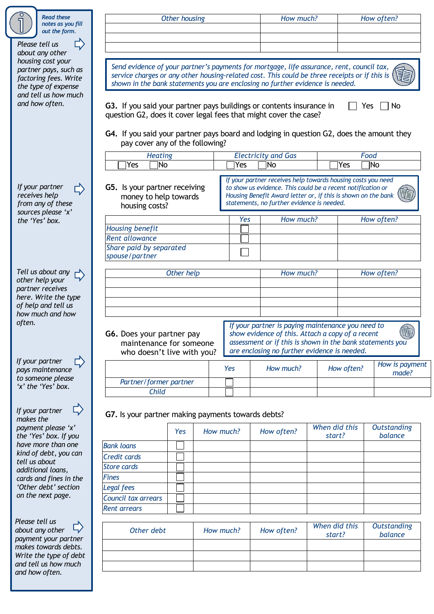| <b>Read these</b><br>notes as you fill                                                                                                                                                                                                                                                                                       |                                                                                          | Other housing                   |           | How much?                                                                                                                    |               | How often?                               |
|------------------------------------------------------------------------------------------------------------------------------------------------------------------------------------------------------------------------------------------------------------------------------------------------------------------------------|------------------------------------------------------------------------------------------|---------------------------------|-----------|------------------------------------------------------------------------------------------------------------------------------|---------------|------------------------------------------|
| out the form.                                                                                                                                                                                                                                                                                                                |                                                                                          |                                 |           |                                                                                                                              |               |                                          |
| Please tell us                                                                                                                                                                                                                                                                                                               |                                                                                          |                                 |           |                                                                                                                              |               |                                          |
| about any other                                                                                                                                                                                                                                                                                                              |                                                                                          |                                 |           |                                                                                                                              |               |                                          |
| housing cost your<br>partner pays, such as                                                                                                                                                                                                                                                                                   |                                                                                          |                                 |           | Send evidence of your partner's payments for mortgage, life assurance, rent, council tax,                                    |               |                                          |
| factoring fees. Write                                                                                                                                                                                                                                                                                                        |                                                                                          |                                 |           | service charges or any other housing-related cost. This could be three receipts or if this is                                |               |                                          |
| the type of expense                                                                                                                                                                                                                                                                                                          |                                                                                          |                                 |           | shown in the bank statements you are enclosing no further evidence is needed.                                                |               |                                          |
| and tell us how much                                                                                                                                                                                                                                                                                                         |                                                                                          |                                 |           |                                                                                                                              |               |                                          |
| and how often.                                                                                                                                                                                                                                                                                                               | G3. If you said your partner pays buildings or contents insurance in                     |                                 |           |                                                                                                                              |               | Yes<br>No                                |
|                                                                                                                                                                                                                                                                                                                              | question G2, does it cover legal fees that might cover the case?                         |                                 |           |                                                                                                                              |               |                                          |
|                                                                                                                                                                                                                                                                                                                              | G4. If you said your partner pays board and lodging in question G2, does the amount they |                                 |           |                                                                                                                              |               |                                          |
|                                                                                                                                                                                                                                                                                                                              |                                                                                          | pay cover any of the following? |           |                                                                                                                              |               |                                          |
|                                                                                                                                                                                                                                                                                                                              |                                                                                          |                                 |           |                                                                                                                              |               |                                          |
|                                                                                                                                                                                                                                                                                                                              | <b>Heating</b><br>1No<br>Yes                                                             |                                 | Yes       | <b>Electricity and Gas</b><br>ÌNo                                                                                            | Yes           | Food<br>1No                              |
|                                                                                                                                                                                                                                                                                                                              |                                                                                          |                                 |           |                                                                                                                              |               |                                          |
|                                                                                                                                                                                                                                                                                                                              |                                                                                          |                                 |           | If your partner receives help towards housing costs you need                                                                 |               |                                          |
| If your partner<br>receives help                                                                                                                                                                                                                                                                                             | G5. Is your partner receiving                                                            |                                 |           | to show us evidence. This could be a recent notification or<br>Housing Benefit Award letter or, if this is shown on the bank |               |                                          |
| from any of these                                                                                                                                                                                                                                                                                                            | money to help towards                                                                    |                                 |           | statements, no further evidence is needed.                                                                                   |               |                                          |
| sources please 'x'                                                                                                                                                                                                                                                                                                           | housing costs?                                                                           |                                 |           |                                                                                                                              |               |                                          |
| the 'Yes' box.                                                                                                                                                                                                                                                                                                               |                                                                                          |                                 | Yes       | How much?                                                                                                                    |               | How often?                               |
|                                                                                                                                                                                                                                                                                                                              | <b>Housing benefit</b>                                                                   |                                 |           |                                                                                                                              |               |                                          |
|                                                                                                                                                                                                                                                                                                                              | <b>Rent allowance</b><br>Share paid by separated                                         |                                 |           |                                                                                                                              |               |                                          |
|                                                                                                                                                                                                                                                                                                                              | spouse/partner                                                                           |                                 |           |                                                                                                                              |               |                                          |
|                                                                                                                                                                                                                                                                                                                              |                                                                                          |                                 |           |                                                                                                                              |               |                                          |
| Tell us about any                                                                                                                                                                                                                                                                                                            |                                                                                          | Other help                      |           | How much?                                                                                                                    |               | How often?                               |
| other help your                                                                                                                                                                                                                                                                                                              |                                                                                          |                                 |           |                                                                                                                              |               |                                          |
| partner receives<br>here. Write the type                                                                                                                                                                                                                                                                                     |                                                                                          |                                 |           |                                                                                                                              |               |                                          |
| of help and tell us                                                                                                                                                                                                                                                                                                          |                                                                                          |                                 |           |                                                                                                                              |               |                                          |
| how much and how                                                                                                                                                                                                                                                                                                             |                                                                                          |                                 |           |                                                                                                                              |               |                                          |
| often.                                                                                                                                                                                                                                                                                                                       |                                                                                          |                                 |           | If your partner is paying maintenance you need to                                                                            |               |                                          |
|                                                                                                                                                                                                                                                                                                                              | G6. Does your partner pay                                                                |                                 |           | show evidence of this. Attach a copy of a recent                                                                             |               |                                          |
|                                                                                                                                                                                                                                                                                                                              |                                                                                          | maintenance for someone         |           | assessment or if this is shown in the bank statements you<br>are enclosing no further evidence is needed.                    |               |                                          |
| If your partner                                                                                                                                                                                                                                                                                                              |                                                                                          | who doesn't live with you?      |           |                                                                                                                              |               |                                          |
| pays maintenance                                                                                                                                                                                                                                                                                                             |                                                                                          |                                 | Yes       | How much?                                                                                                                    | How often?    | How is payment                           |
| to someone please                                                                                                                                                                                                                                                                                                            | Partner/former partner                                                                   |                                 |           |                                                                                                                              |               | made?                                    |
| 'x' the 'Yes' box.                                                                                                                                                                                                                                                                                                           |                                                                                          |                                 |           |                                                                                                                              |               |                                          |
|                                                                                                                                                                                                                                                                                                                              |                                                                                          |                                 |           |                                                                                                                              |               |                                          |
|                                                                                                                                                                                                                                                                                                                              | Child                                                                                    |                                 |           |                                                                                                                              |               |                                          |
|                                                                                                                                                                                                                                                                                                                              |                                                                                          |                                 |           |                                                                                                                              |               |                                          |
|                                                                                                                                                                                                                                                                                                                              | G7. Is your partner making payments towards debts?                                       |                                 |           |                                                                                                                              |               |                                          |
|                                                                                                                                                                                                                                                                                                                              |                                                                                          | Yes                             | How much? |                                                                                                                              | When did this |                                          |
|                                                                                                                                                                                                                                                                                                                              |                                                                                          |                                 |           | How often?                                                                                                                   | start?        | balance                                  |
|                                                                                                                                                                                                                                                                                                                              | <b>Bank loans</b>                                                                        |                                 |           |                                                                                                                              |               |                                          |
|                                                                                                                                                                                                                                                                                                                              | Credit cards                                                                             |                                 |           |                                                                                                                              |               |                                          |
|                                                                                                                                                                                                                                                                                                                              | <b>Store cards</b>                                                                       |                                 |           |                                                                                                                              |               |                                          |
|                                                                                                                                                                                                                                                                                                                              | <b>Fines</b>                                                                             |                                 |           |                                                                                                                              |               |                                          |
|                                                                                                                                                                                                                                                                                                                              | Legal fees                                                                               |                                 |           |                                                                                                                              |               |                                          |
|                                                                                                                                                                                                                                                                                                                              | Council tax arrears                                                                      |                                 |           |                                                                                                                              |               |                                          |
|                                                                                                                                                                                                                                                                                                                              | Rent arrears                                                                             |                                 |           |                                                                                                                              |               |                                          |
|                                                                                                                                                                                                                                                                                                                              |                                                                                          |                                 |           |                                                                                                                              |               |                                          |
|                                                                                                                                                                                                                                                                                                                              | Other debt                                                                               |                                 | How much? | How often?                                                                                                                   | When did this |                                          |
|                                                                                                                                                                                                                                                                                                                              |                                                                                          |                                 |           |                                                                                                                              | start?        | balance                                  |
| If your partner<br>makes the<br>payment please 'x'<br>the 'Yes' box. If you<br>have more than one<br>kind of debt, you can<br>tell us about<br>additional loans,<br>cards and fines in the<br>'Other debt' section<br>on the next page.<br>Please tell us<br>about any other<br>payment your partner<br>makes towards debts. |                                                                                          |                                 |           |                                                                                                                              |               | <b>Outstanding</b><br><b>Outstanding</b> |
| Write the type of debt<br>and tell us how much                                                                                                                                                                                                                                                                               |                                                                                          |                                 |           |                                                                                                                              |               |                                          |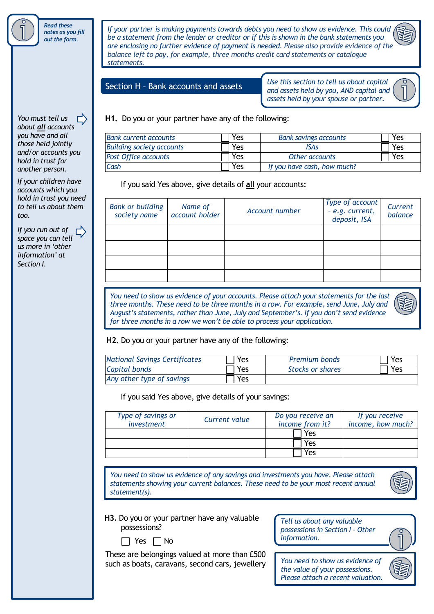

*If your partner is making payments towards debts you need to show us evidence. This could be a statement from the lender or creditor or if this is shown in the bank statements you are enclosing no further evidence of payment is needed. Please also provide evidence of the balance left to pay, for example, three months credit card statements or catalogue statements.*

#### Section H – Bank accounts and assets

*Use this section to tell us about capital and assets held by you, AND capital and assets held by your spouse or partner.*

#### **H1.** Do you or your partner have any of the following:

| <b>Bank current accounts</b>     | Yes | <b>Bank savings accounts</b> | Yes |
|----------------------------------|-----|------------------------------|-----|
| <b>Building society accounts</b> | Yes | ISAs                         | Yes |
| <b>Post Office accounts</b>      | Yes | Other accounts               | Yes |
| Cash                             | Yes | If you have cash, how much?  |     |

If you said Yes above, give details of **all** your accounts:

| <b>Bank or building</b><br>society name | Name of<br>account holder | Account number | Type of account<br>- e.g. current,<br>deposit, ISA | Current<br>balance |
|-----------------------------------------|---------------------------|----------------|----------------------------------------------------|--------------------|
|                                         |                           |                |                                                    |                    |
|                                         |                           |                |                                                    |                    |
|                                         |                           |                |                                                    |                    |
|                                         |                           |                |                                                    |                    |

*You need to show us evidence of your accounts. Please attach your statements for the last three months. These need to be three months in a row. For example, send June, July and August's statements, rather than June, July and September's. If you don't send evidence for three months in a row we won't be able to process your application.*



#### **H2.** Do you or your partner have any of the following:

| <b>National Savings Certificates</b> | Yes | <b>Premium bonds</b> | Yes |
|--------------------------------------|-----|----------------------|-----|
| Capital bonds                        | Yes | Stocks or shares     | Yes |
| Any other type of savings            | Yes |                      |     |

If you said Yes above, give details of your savings:

| Type of savings or<br>investment | Current value | Do you receive an<br>income from it? | If you receive<br>income, how much? |
|----------------------------------|---------------|--------------------------------------|-------------------------------------|
|                                  |               | Yes                                  |                                     |
|                                  |               | Yes                                  |                                     |
|                                  |               | Ά۹′                                  |                                     |

*You need to show us evidence of any savings and investments you have. Please attach statements showing your current balances. These need to be your most recent annual statement(s).*



| H3. Do you or your partner have any valuable |
|----------------------------------------------|
| possessions?                                 |



These are belongings valued at more than £500 such as boats, caravans, second cars, jewellery



*You need to show us evidence of the value of your possessions. Please attach a recent valuation.*



*about all accounts you have and all those held jointly and/or accounts you hold in trust for another person.*

*You must tell us*

*If your children have accounts which you hold in trust you need to tell us about them too.*

*If you run out of space you can tell us more in 'other information' at Section I.*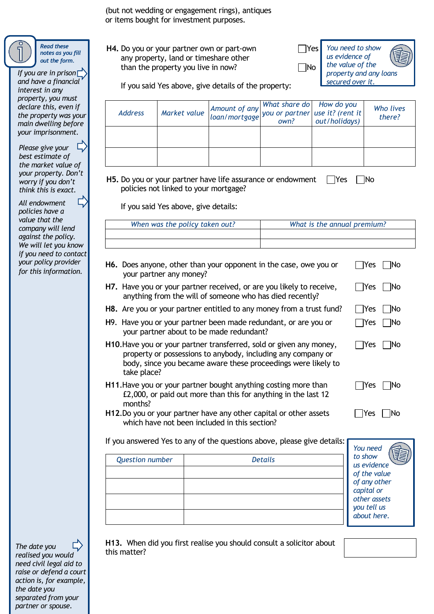(but not wedding or engagement rings), antiques or items bought for investment purposes.

**H4.** Do you or your partner own or part-own any property, land or timeshare other than the property you live in now?

Yes No *You need to show us evidence of the value of the property and any loans secured over it.*

 $|Yes|$   $|No$ 

| Yes | No

 $\Box$ Yes  $\Box$ No

 $\Box$ Yes  $\Box$ No

 $\Box$ Yes  $\Box$ No

If you said Yes above, give details of the property:

| <b>Address</b> | Market value Amount of any What share do How do you<br>loan/mortgage you or partner use it? (rent it<br>own? out/holidays) |  | Who lives<br>there? |
|----------------|----------------------------------------------------------------------------------------------------------------------------|--|---------------------|
|                |                                                                                                                            |  |                     |
|                |                                                                                                                            |  |                     |

**H5.** Do you or your partner have life assurance or endowment  $\Box$  Yes  $\Box$  No policies not linked to your mortgage?

If you said Yes above, give details:

| When was the policy taken out? | What is the annual premium? |
|--------------------------------|-----------------------------|
|                                |                             |
|                                |                             |

- **H6.** Does anyone, other than your opponent in the case, owe you or your partner any money?  $\Box$ Yes  $\Box$ No
- **H7.** Have you or your partner received, or are you likely to receive, anything from the will of someone who has died recently?
- **H8.** Are you or your partner entitled to any money from a trust fund?  $\Box$  Yes  $\Box$  No
- **H**9. Have you or your partner been made redundant, or are you or your partner about to be made redundant?
- **H10**.Have you or your partner transferred, sold or given any money, property or possessions to anybody, including any company or body, since you became aware these proceedings were likely to take place?
- **H11**.Have you or your partner bought anything costing more than £2,000, or paid out more than this for anything in the last 12 months?
- **H12**.Do you or your partner have any other capital or other assets which have not been included in this section?

If you answered Yes to any of the questions above, please give details:

|                        |                | You need                                                                  |
|------------------------|----------------|---------------------------------------------------------------------------|
| <b>Question number</b> | <b>Details</b> | 毛<br>to show<br>us evidence<br>of the value<br>of any other<br>capital or |
|                        |                | other assets<br>you tell us<br>about here.                                |

**H13.** When did you first realise you should consult a solicitor about this matter?

*the market value of your property. Don't worry if you don't think this is exact.*  $\overline{L}$ *All endowment policies have a value that the* 

*Please give your best estimate of*

*If you are in prison and have a financial interest in any property, you must declare this, even if the property was your main dwelling before your imprisonment.*

*company will lend against the policy. We will let you know if you need to contact your policy provider for this information.*

 $\Box$ *The date you realised you would need civil legal aid to raise or defend a court action is, for example, the date you separated from your partner or spouse.*

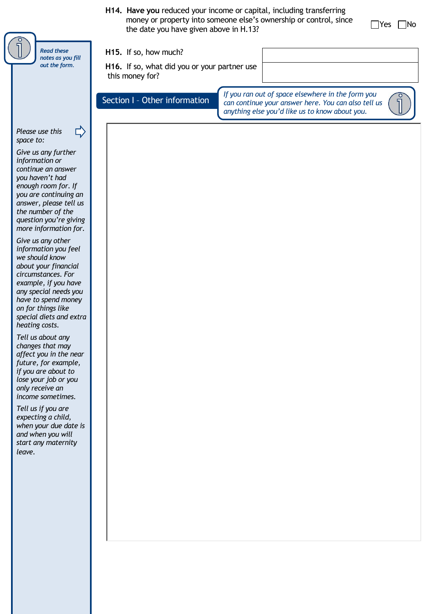|                                                                                                                                                                                                                                                                                                                                                                                                                                                                                                                                                                                                                                                                                                                                                                                                                                       | H14. Have you reduced your income or capital, including transferring<br>money or property into someone else's ownership or control, since<br>Yes<br> No<br>the date you have given above in H.13? |
|---------------------------------------------------------------------------------------------------------------------------------------------------------------------------------------------------------------------------------------------------------------------------------------------------------------------------------------------------------------------------------------------------------------------------------------------------------------------------------------------------------------------------------------------------------------------------------------------------------------------------------------------------------------------------------------------------------------------------------------------------------------------------------------------------------------------------------------|---------------------------------------------------------------------------------------------------------------------------------------------------------------------------------------------------|
| <b>Read these</b><br>notes as you fill                                                                                                                                                                                                                                                                                                                                                                                                                                                                                                                                                                                                                                                                                                                                                                                                | H15. If so, how much?                                                                                                                                                                             |
| out the form.                                                                                                                                                                                                                                                                                                                                                                                                                                                                                                                                                                                                                                                                                                                                                                                                                         | H16. If so, what did you or your partner use<br>this money for?                                                                                                                                   |
|                                                                                                                                                                                                                                                                                                                                                                                                                                                                                                                                                                                                                                                                                                                                                                                                                                       | If you ran out of space elsewhere in the form you<br>Section I - Other information<br>can continue your answer here. You can also tell us<br>anything else you'd like us to know about you.       |
| Please use this<br>space to:<br>Give us any further<br>information or<br>continue an answer<br>you haven't had<br>enough room for. If<br>you are continuing an<br>answer, please tell us<br>the number of the<br>question you're giving<br>more information for.<br>Give us any other<br>information you feel<br>we should know<br>about your financial<br>circumstances. For<br>example, if you have<br>any special needs you<br>have to spend money<br>on for things like<br>special diets and extra<br>heating costs.<br>Tell us about any<br>changes that may<br>affect you in the near<br>future, for example,<br>if you are about to<br>lose your job or you<br>only receive an<br>income sometimes.<br>Tell us if you are<br>expecting a child,<br>when your due date is<br>and when you will<br>start any maternity<br>leave. |                                                                                                                                                                                                   |
|                                                                                                                                                                                                                                                                                                                                                                                                                                                                                                                                                                                                                                                                                                                                                                                                                                       |                                                                                                                                                                                                   |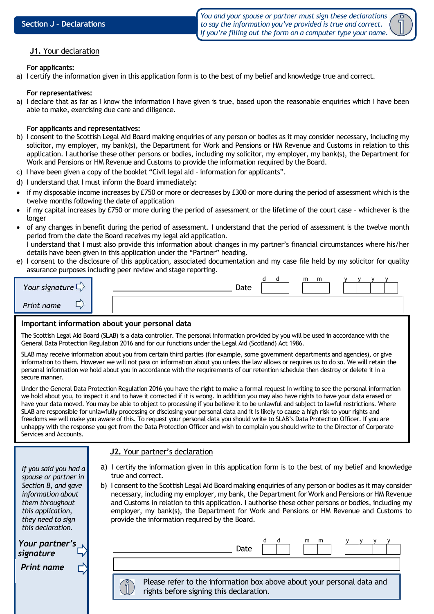*You and your spouse or partner must sign these declarations to say the information you've provided is true and correct. If you're filling out the form on a computer type your name.*



#### **J1.** Your declaration **J1.** Your declaration

#### **For applicants:**

a) I certify the information given in this application form is to the best of my belief and knowledge true and correct.

#### **For representatives:**

a) I declare that as far as I know the information I have given is true, based upon the reasonable enquiries which I have been able to make, exercising due care and diligence.

#### **For applicants and representatives:**

- b) I consent to the Scottish Legal Aid Board making enquiries of any person or bodies as it may consider necessary, including my solicitor, my employer, my bank(s), the Department for Work and Pensions or HM Revenue and Customs in relation to this application. I authorise these other persons or bodies, including my solicitor, my employer, my bank(s), the Department for Work and Pensions or HM Revenue and Customs to provide the information required by the Board.
- c) I have been given a copy of the booklet "Civil legal aid information for applicants".
- d) I understand that I must inform the Board immediately:
- if my disposable income increases by  $E$ 750 or more or decreases by  $E$ 300 or more during the period of assessment which is the twelve months following the date of application
- if my capital increases by £750 or more during the period of assessment or the lifetime of the court case whichever is the longer
- of any changes in benefit during the period of assessment. I understand that the period of assessment is the twelve month period from the date the Board receives my legal aid application.

I understand that I must also provide this information about changes in my partner's financial circumstances where his/her details have been given in this application under the "Partner" heading.

e) I consent to the disclosure of this application, associated documentation and my case file held by my solicitor for quality assurance purposes including peer review and stage reporting.

| Your signature $\Box$ | m<br>m<br>Date | $\sqrt{ }$ |
|-----------------------|----------------|------------|
| Print name            |                |            |

#### **Important information about your personal data**

The Scottish Legal Aid Board (SLAB) is a data controller. The personal information provided by you will be used in accordance with the General Data Protection Regulation 2016 and for our functions under the Legal Aid (Scotland) Act 1986.

SLAB may receive information about you from certain third parties (for example, some government departments and agencies), or give information to them. However we will not pass on information about you unless the law allows or requires us to do so. We will retain the personal information we hold about you in accordance with the requirements of our retention schedule then destroy or delete it in a secure manner.

Under the General Data Protection Regulation 2016 you have the right to make a formal request in writing to see the personal information we hold about you, to inspect it and to have it corrected if it is wrong. In addition you may also have rights to have your data erased or have your data moved. You may be able to object to processing if you believe it to be unlawful and subject to lawful restrictions. Where SLAB are responsible for unlawfully processing or disclosing your personal data and it is likely to cause a high risk to your rights and freedoms we will make you aware of this. To request your personal data you should write to SLAB's Data Protection Officer. If you are unhappy with the response you get from the Data Protection Officer and wish to complain you should write to the Director of Corporate Services and Accounts.

#### **J2.** Your partner's declaration

a) I certify the information given in this application form is to the best of my belief and knowledge true and correct. b) I consent to the Scottish Legal Aid Board making enquiries of any person or bodies as it may consider necessary, including my employer, my bank, the Department for Work and Pensions or HM Revenue and Customs in relation to this application. I authorise these other persons or bodies, including my employer, my bank(s), the Department for Work and Pensions or HM Revenue and Customs to provide the information required by the Board. d d m m y y y y Date *Your partner's signature If you said you had a spouse or partner in Section B, and gave information about them throughout this application, they need to sign this declaration. Print name* Please refer to the information box above about your personal data and rights before signing this declaration.